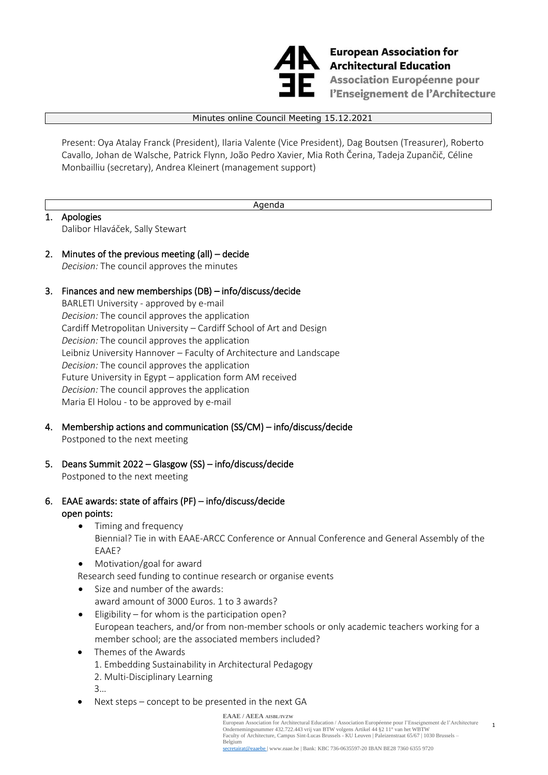

**European Association for** European Association fo<br>Architectural Education<br>Accociation Européanne **Association Européenne pour** l'Enseignement de l'Architecture

#### Minutes online Council Meeting 15.12.2021

Present: Oya Atalay Franck (President), Ilaria Valente (Vice President), Dag Boutsen (Treasurer), Roberto Cavallo, Johan de Walsche, Patrick Flynn, [João Pedro Xavier,](https://www.eaae.be/councilmember/joao-pedro-xavier/) Mia Roth Čerina, Tadeja Zupančič, Céline Monbailliu (secretary), Andrea Kleinert (management support)

#### Agenda

1. Apologies Dalibor Hlaváček, Sally Stewart

# 2. Minutes of the previous meeting (all) – decide *Decision:* The council approves the minutes

# 3. Finances and new memberships (DB) – info/discuss/decide

BARLETI University - approved by e-mail *Decision:* The council approves the application Cardiff Metropolitan University – Cardiff School of Art and Design *Decision:* The council approves the application Leibniz University Hannover – Faculty of Architecture and Landscape *Decision:* The council approves the application Future University in Egypt – application form AM received *Decision:* The council approves the application Maria El Holou - to be approved by e-mail

- 4. Membership actions and communication (SS/CM) info/discuss/decide Postponed to the next meeting
- 5. Deans Summit 2022 Glasgow (SS) info/discuss/decide Postponed to the next meeting
- 6. EAAE awards: state of affairs (PF) info/discuss/decide open points:
	- Timing and frequency Biennial? Tie in with EAAE-ARCC Conference or Annual Conference and General Assembly of the EAAE?
	- Motivation/goal for award
	- Research seed funding to continue research or organise events
	- Size and number of the awards: award amount of 3000 Euros. 1 to 3 awards?
	- Eligibility for whom is the participation open? European teachers, and/or from non-member schools or only academic teachers working for a member school; are the associated members included?
	- Themes of the Awards
		- 1. Embedding Sustainability in Architectural Pedagogy
		- 2. Multi-Disciplinary Learning
		- 3…
	- Next steps  $-$  concept to be presented in the next GA

#### **EAAE / AEEA AISBL/IVZW**

European Association for Architectural Education / Association Européenne pour l'Enseignement de l'Architecture Ondernemingsnummer 432.722.443 vrij van BTW volgens Artikel 44 §2 11° van het WBTW Faculty of Architecture, Campus Sint-Lucas Brussels - KU Leuven | Paleizenstraat 65/67 | 1030 Brussels – Belgium secretairat[@eaaebe |](mailto:eaaebe) [www.eaae.be |](http://www.eaae.be/) Bank: KBC 736-0635597-20 IBAN BE28 7360 6355 9720

1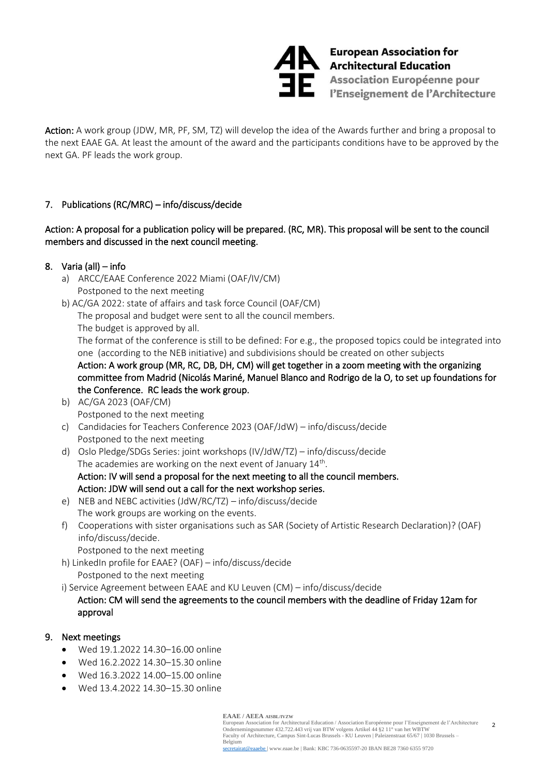

European Association for<br>Architectural Education **Association Européenne pour<br>Pénseignement de l'Architecte** l'Enseignement de l'Architecture

Action: A work group (JDW, MR, PF, SM, TZ) will develop the idea of the Awards further and bring a proposal to the next EAAE GA. At least the amount of the award and the participants conditions have to be approved by the next GA. PF leads the work group.

# 7. Publications (RC/MRC) – info/discuss/decide

# Action: A proposal for a publication policy will be prepared. (RC, MR). This proposal will be sent to the council members and discussed in the next council meeting.

# 8. Varia (all) – info

- a) ARCC/EAAE Conference 2022 Miami (OAF/IV/CM) Postponed to the next meeting
- b) AC/GA 2022: state of affairs and task force Council (OAF/CM) The proposal and budget were sent to all the council members. The budget is approved by all. The format of the conference is still to be defined: For e.g., the proposed topics could be integrated into one (according to the NEB initiative) and subdivisions should be created on other subjects Action: A work group (MR, RC, DB, DH, CM) will get together in a zoom meeting with the organizing committee from Madrid (Nicolás Mariné, Manuel Blanco and Rodrigo de la O, to set up foundations for the Conference. RC leads the work group.
- b) AC/GA 2023 (OAF/CM) Postponed to the next meeting
- c) Candidacies for Teachers Conference 2023 (OAF/JdW) info/discuss/decide Postponed to the next meeting
- d) Oslo Pledge/SDGs Series: joint workshops (IV/JdW/TZ) info/discuss/decide The academies are working on the next event of January 14<sup>th</sup>. Action: IV will send a proposal for the next meeting to all the council members. Action: JDW will send out a call for the next workshop series.
- e) NEB and NEBC activities (JdW/RC/TZ) info/discuss/decide The work groups are working on the events.
- f) Cooperations with sister organisations such as SAR (Society of Artistic Research Declaration)? (OAF) info/discuss/decide.
	- Postponed to the next meeting
- h) LinkedIn profile for EAAE? (OAF) info/discuss/decide Postponed to the next meeting

i) Service Agreement between EAAE and KU Leuven (CM) – info/discuss/decide

#### Action: CM will send the agreements to the council members with the deadline of Friday 12am for approval

#### 9. Next meetings

- Wed 19.1.2022 14.30–16.00 online
- Wed 16.2.2022 14.30–15.30 online
- Wed 16.3.2022 14.00–15.00 online
- Wed 13.4.2022 14.30–15.30 online